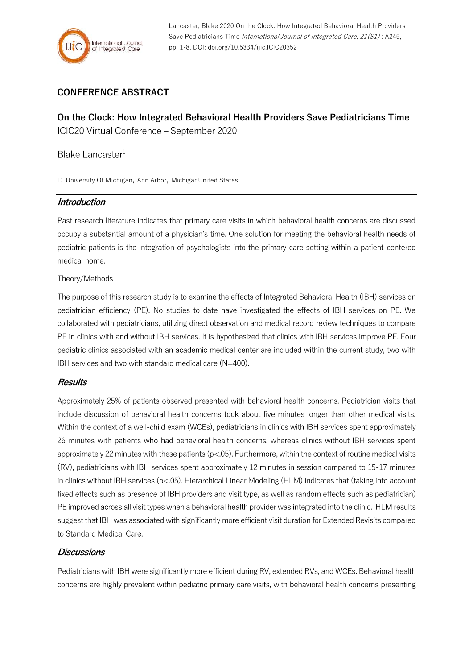Lancaster, Blake 2020 On the Clock: How Integrated Behavioral Health Providers Save Pediatricians Time International Journal of Integrated Care, 21(S1): A245, pp. 1-8, DOI: doi.org/10.5334/ijic.ICIC20352

# **CONFERENCE ABSTRACT**

**On the Clock: How Integrated Behavioral Health Providers Save Pediatricians Time** ICIC20 Virtual Conference – September 2020

# Blake Lancaster<sup>1</sup>

1: University Of Michigan, Ann Arbor, MichiganUnited States

#### **Introduction**

Past research literature indicates that primary care visits in which behavioral health concerns are discussed occupy a substantial amount of a physician's time. One solution for meeting the behavioral health needs of pediatric patients is the integration of psychologists into the primary care setting within a patient-centered medical home.

Theory/Methods

The purpose of this research study is to examine the effects of Integrated Behavioral Health (IBH) services on pediatrician efficiency (PE). No studies to date have investigated the effects of IBH services on PE. We collaborated with pediatricians, utilizing direct observation and medical record review techniques to compare PE in clinics with and without IBH services. It is hypothesized that clinics with IBH services improve PE. Four pediatric clinics associated with an academic medical center are included within the current study, two with IBH services and two with standard medical care (N=400).

#### **Results**

Approximately 25% of patients observed presented with behavioral health concerns. Pediatrician visits that include discussion of behavioral health concerns took about five minutes longer than other medical visits. Within the context of a well-child exam (WCEs), pediatricians in clinics with IBH services spent approximately 26 minutes with patients who had behavioral health concerns, whereas clinics without IBH services spent approximately 22 minutes with these patients (p<.05). Furthermore, within the context of routine medical visits (RV), pediatricians with IBH services spent approximately 12 minutes in session compared to 15-17 minutes in clinics without IBH services (p<.05). Hierarchical Linear Modeling (HLM) indicates that (taking into account fixed effects such as presence of IBH providers and visit type, as well as random effects such as pediatrician) PE improved across all visit types when a behavioral health provider was integrated into the clinic. HLM results suggest that IBH was associated with significantly more efficient visit duration for Extended Revisits compared to Standard Medical Care.

## **Discussions**

Pediatricians with IBH were significantly more efficient during RV, extended RVs, and WCEs. Behavioral health concerns are highly prevalent within pediatric primary care visits, with behavioral health concerns presenting